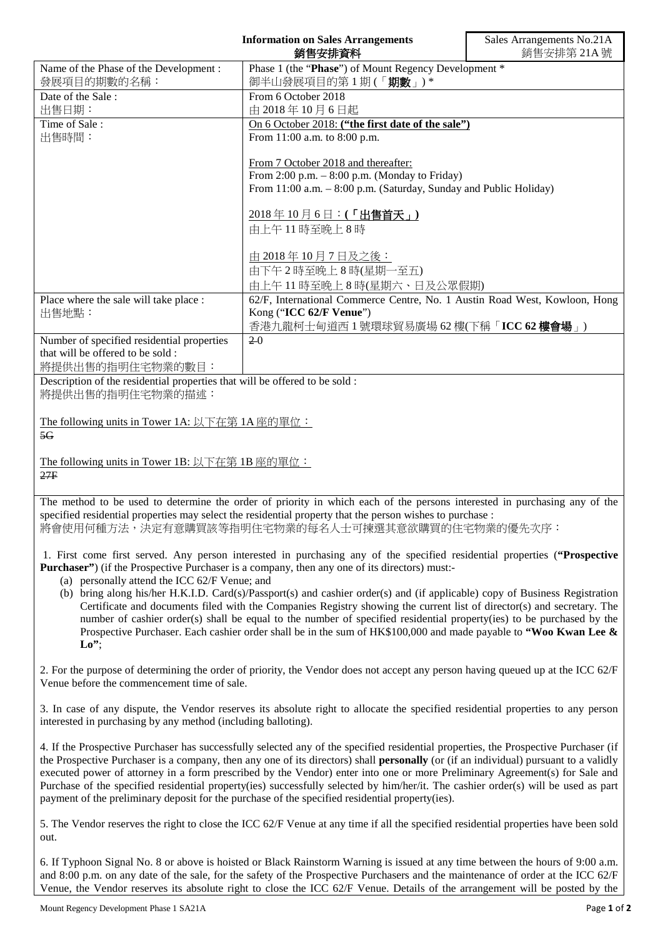|                                                                                                                                                                                                                                    | <b>Information on Sales Arrangements</b><br>銷售安排資料                                                                               | Sales Arrangements No.21A<br>銷售安排第 21A號 |
|------------------------------------------------------------------------------------------------------------------------------------------------------------------------------------------------------------------------------------|----------------------------------------------------------------------------------------------------------------------------------|-----------------------------------------|
| Name of the Phase of the Development :<br>發展項目的期數的名稱:                                                                                                                                                                              | Phase 1 (the "Phase") of Mount Regency Development *<br>御半山發展項目的第1期(「期數」)*                                                       |                                         |
| Date of the Sale:                                                                                                                                                                                                                  | From 6 October 2018                                                                                                              |                                         |
| 出售日期:                                                                                                                                                                                                                              | 由 2018年10月6日起                                                                                                                    |                                         |
| Time of Sale:<br>出售時間:                                                                                                                                                                                                             | On 6 October 2018: ("the first date of the sale")<br>From 11:00 a.m. to 8:00 p.m.                                                |                                         |
|                                                                                                                                                                                                                                    |                                                                                                                                  |                                         |
|                                                                                                                                                                                                                                    | From 7 October 2018 and thereafter:                                                                                              |                                         |
|                                                                                                                                                                                                                                    | From $2:00$ p.m. $-8:00$ p.m. (Monday to Friday)<br>From 11:00 a.m. - 8:00 p.m. (Saturday, Sunday and Public Holiday)            |                                         |
|                                                                                                                                                                                                                                    |                                                                                                                                  |                                         |
|                                                                                                                                                                                                                                    | 2018年10月6日:(「出售首天」)                                                                                                              |                                         |
|                                                                                                                                                                                                                                    | 由上午11時至晚上8時                                                                                                                      |                                         |
|                                                                                                                                                                                                                                    |                                                                                                                                  |                                         |
|                                                                                                                                                                                                                                    | 由 2018年10月7日及之後:<br>由下午2時至晚上8時(星期一至五)                                                                                            |                                         |
|                                                                                                                                                                                                                                    | 由上午11時至晚上8時(星期六、日及公眾假期)                                                                                                          |                                         |
| Place where the sale will take place :                                                                                                                                                                                             | 62/F, International Commerce Centre, No. 1 Austin Road West, Kowloon, Hong                                                       |                                         |
| 出售地點:                                                                                                                                                                                                                              | Kong ("ICC 62/F Venue")                                                                                                          |                                         |
| Number of specified residential properties                                                                                                                                                                                         | 香港九龍柯士甸道西1號環球貿易廣場 62樓(下稱「ICC 62樓會場」)<br>$2-0$                                                                                    |                                         |
| that will be offered to be sold:                                                                                                                                                                                                   |                                                                                                                                  |                                         |
| 將提供出售的指明住宅物業的數目:                                                                                                                                                                                                                   |                                                                                                                                  |                                         |
| Description of the residential properties that will be offered to be sold :<br>將提供出售的指明住宅物業的描述:                                                                                                                                    |                                                                                                                                  |                                         |
| The following units in Tower 1A: 以下在第 1A 座的單位:                                                                                                                                                                                     |                                                                                                                                  |                                         |
| 5G                                                                                                                                                                                                                                 |                                                                                                                                  |                                         |
|                                                                                                                                                                                                                                    |                                                                                                                                  |                                         |
| The following units in Tower 1B: 以下在第 1B 座的單位:<br>27F                                                                                                                                                                              |                                                                                                                                  |                                         |
|                                                                                                                                                                                                                                    |                                                                                                                                  |                                         |
| The method to be used to determine the order of priority in which each of the persons interested in purchasing any of the                                                                                                          |                                                                                                                                  |                                         |
| specified residential properties may select the residential property that the person wishes to purchase :                                                                                                                          |                                                                                                                                  |                                         |
| 將會使用何種方法,決定有意購買該等指明住宅物業的每名人士可揀選其意欲購買的住宅物業的優先次序:                                                                                                                                                                                    |                                                                                                                                  |                                         |
| 1. First come first served. Any person interested in purchasing any of the specified residential properties ("Prospective<br><b>Purchaser</b> ") (if the Prospective Purchaser is a company, then any one of its directors) must:- |                                                                                                                                  |                                         |
| (a) personally attend the ICC 62/F Venue; and<br>(b) bring along his/her H.K.I.D. Card(s)/Passport(s) and cashier order(s) and (if applicable) copy of Business Registration                                                       |                                                                                                                                  |                                         |
| Certificate and documents filed with the Companies Registry showing the current list of director(s) and secretary. The                                                                                                             |                                                                                                                                  |                                         |
| number of cashier order(s) shall be equal to the number of specified residential property(ies) to be purchased by the                                                                                                              |                                                                                                                                  |                                         |
| Prospective Purchaser. Each cashier order shall be in the sum of HK\$100,000 and made payable to "Woo Kwan Lee &<br>Lo''                                                                                                           |                                                                                                                                  |                                         |
|                                                                                                                                                                                                                                    |                                                                                                                                  |                                         |
| 2. For the purpose of determining the order of priority, the Vendor does not accept any person having queued up at the ICC 62/F                                                                                                    |                                                                                                                                  |                                         |
| Venue before the commencement time of sale.                                                                                                                                                                                        |                                                                                                                                  |                                         |
|                                                                                                                                                                                                                                    | 3. In case of any dispute, the Vendor reserves its absolute right to allocate the specified residential properties to any person |                                         |
| interested in purchasing by any method (including balloting).                                                                                                                                                                      |                                                                                                                                  |                                         |

4. If the Prospective Purchaser has successfully selected any of the specified residential properties, the Prospective Purchaser (if the Prospective Purchaser is a company, then any one of its directors) shall **personally** (or (if an individual) pursuant to a validly executed power of attorney in a form prescribed by the Vendor) enter into one or more Preliminary Agreement(s) for Sale and Purchase of the specified residential property(ies) successfully selected by him/her/it. The cashier order(s) will be used as part payment of the preliminary deposit for the purchase of the specified residential property(ies).

5. The Vendor reserves the right to close the ICC 62/F Venue at any time if all the specified residential properties have been sold out.

6. If Typhoon Signal No. 8 or above is hoisted or Black Rainstorm Warning is issued at any time between the hours of 9:00 a.m. and 8:00 p.m. on any date of the sale, for the safety of the Prospective Purchasers and the maintenance of order at the ICC 62/F Venue, the Vendor reserves its absolute right to close the ICC 62/F Venue. Details of the arrangement will be posted by the